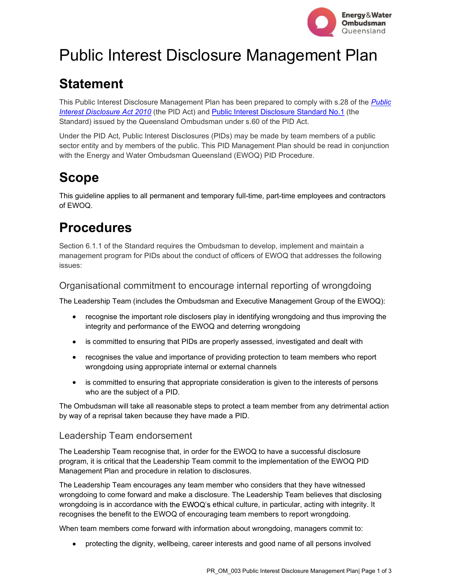

# Public Interest Disclosure Management Plan

### **Statement**

This Public Interest Disclosure Management Plan has been prepared to comply with s.28 of the Public Interest Disclosure Act 2010 (the PID Act) and Public Interest Disclosure Standard No.1 (the Standard) issued by the Queensland Ombudsman under s.60 of the PID Act.

Under the PID Act, Public Interest Disclosures (PIDs) may be made by team members of a public sector entity and by members of the public. This PID Management Plan should be read in conjunction with the Energy and Water Ombudsman Queensland (EWOQ) PID Procedure.

## Scope

This guideline applies to all permanent and temporary full-time, part-time employees and contractors of EWOQ.

## Procedures

Section 6.1.1 of the Standard requires the Ombudsman to develop, implement and maintain a management program for PIDs about the conduct of officers of EWOQ that addresses the following issues:

#### Organisational commitment to encourage internal reporting of wrongdoing

The Leadership Team (includes the Ombudsman and Executive Management Group of the EWOQ):

- recognise the important role disclosers play in identifying wrongdoing and thus improving the integrity and performance of the EWOQ and deterring wrongdoing
- is committed to ensuring that PIDs are properly assessed, investigated and dealt with
- recognises the value and importance of providing protection to team members who report wrongdoing using appropriate internal or external channels
- $\bullet$ is committed to ensuring that appropriate consideration is given to the interests of persons who are the subject of a PID.

The Ombudsman will take all reasonable steps to protect a team member from any detrimental action by way of a reprisal taken because they have made a PID.

#### Leadership Team endorsement

The Leadership Team recognise that, in order for the EWOQ to have a successful disclosure program, it is critical that the Leadership Team commit to the implementation of the EWOQ PID Management Plan and procedure in relation to disclosures.

The Leadership Team encourages any team member who considers that they have witnessed wrongdoing to come forward and make a disclosure. The Leadership Team believes that disclosing wrongdoing is in accordance with the EWOQ's ethical culture, in particular, acting with integrity. It recognises the benefit to the EWOQ of encouraging team members to report wrongdoing.

When team members come forward with information about wrongdoing, managers commit to:

protecting the dignity, wellbeing, career interests and good name of all persons involved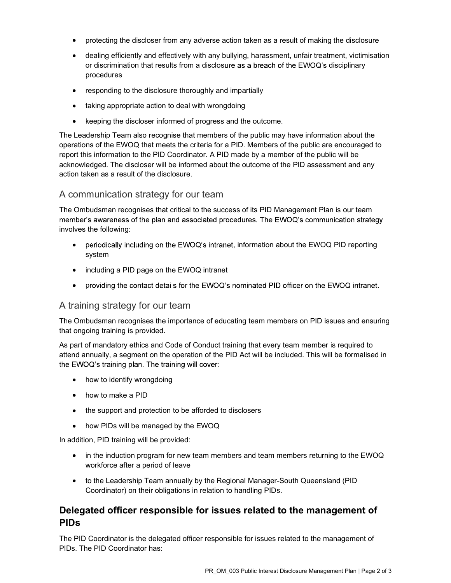- protecting the discloser from any adverse action taken as a result of making the disclosure
- dealing efficiently and effectively with any bullying, harassment, unfair treatment, victimisation or discrimination that results from a disclosure as a breach of the  $EWOQ$ 's disciplinary procedures
- responding to the disclosure thoroughly and impartially
- taking appropriate action to deal with wrongdoing
- keeping the discloser informed of progress and the outcome.

The Leadership Team also recognise that members of the public may have information about the operations of the EWOQ that meets the criteria for a PID. Members of the public are encouraged to report this information to the PID Coordinator. A PID made by a member of the public will be acknowledged. The discloser will be informed about the outcome of the PID assessment and any action taken as a result of the disclosure.

#### A communication strategy for our team

The Ombudsman recognises that critical to the success of its PID Management Plan is our team member's awareness of the plan and associated procedures. The EWOQ's communication strategy involves the following:

- periodically including on the EWOQ's intranet, information about the EWOQ PID reporting system
- including a PID page on the EWOQ intranet
- providing the contact details for the EWOQ's nominated PID officer on the EWOQ intranet.

#### A training strategy for our team

The Ombudsman recognises the importance of educating team members on PID issues and ensuring that ongoing training is provided.

As part of mandatory ethics and Code of Conduct training that every team member is required to attend annually, a segment on the operation of the PID Act will be included. This will be formalised in the EWOQ's training plan. The training will cover:

- how to identify wrongdoing
- how to make a PID
- the support and protection to be afforded to disclosers
- how PIDs will be managed by the EWOQ

In addition, PID training will be provided:

- in the induction program for new team members and team members returning to the EWOQ workforce after a period of leave
- to the Leadership Team annually by the Regional Manager-South Queensland (PID Coordinator) on their obligations in relation to handling PIDs.

#### Delegated officer responsible for issues related to the management of PIDs

The PID Coordinator is the delegated officer responsible for issues related to the management of PIDs. The PID Coordinator has: